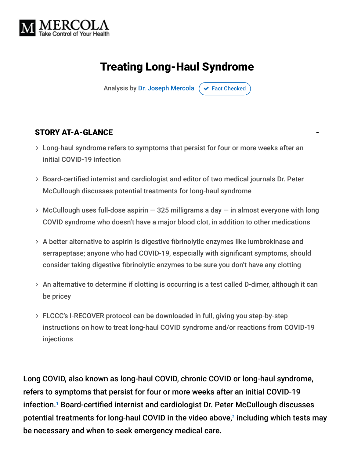

# Treating Long-Haul Syndrome

Analysis by [Dr. Joseph Mercola](https://www.mercola.com/forms/background.htm)  $\sigma$  [Fact Checked](javascript:void(0))

#### STORY AT-A-GLANCE

- Long-haul syndrome refers to symptoms that persist for four or more weeks after an initial COVID-19 infection
- Board-certified internist and cardiologist and editor of two medical journals Dr. Peter McCullough discusses potential treatments for long-haul syndrome
- $>$  McCullough uses full-dose aspirin  $-$  325 milligrams a day  $-$  in almost everyone with long COVID syndrome who doesn't have a major blood clot, in addition to other medications
- A better alternative to aspirin is digestive fibrinolytic enzymes like lumbrokinase and serrapeptase; anyone who had COVID-19, especially with significant symptoms, should consider taking digestive fibrinolytic enzymes to be sure you don't have any clotting
- $>$  An alternative to determine if clotting is occurring is a test called D-dimer, although it can be pricey
- FLCCC's I-RECOVER protocol can be downloaded in full, giving you step-by-step instructions on how to treat long-haul COVID syndrome and/or reactions from COVID-19 injections

Long COVID, also known as long-haul COVID, chronic COVID or long-haul syndrome, refers to symptoms that persist for four or more weeks after an initial COVID-19 infection.<sup>1</sup> Board-certified internist and cardiologist Dr. Peter McCullough discusses potential treatments for long-haul COVID in the video above, $^2$  including which tests may be necessary and when to seek emergency medical care.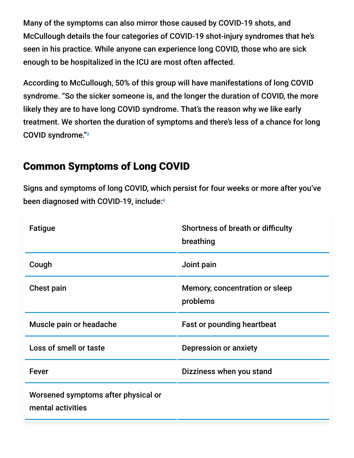Many of the symptoms can also mirror those caused by COVID-19 shots, and McCullough details the four categories of COVID-19 shot-injury syndromes that he's seen in his practice. While anyone can experience long COVID, those who are sick enough to be hospitalized in the ICU are most often affected.

According to McCullough, 50% of this group will have manifestations of long COVID syndrome. "So the sicker someone is, and the longer the duration of COVID, the more likely they are to have long COVID syndrome. That's the reason why we like early treatment. We shorten the duration of symptoms and there's less of a chance for long COVID syndrome." 3

#### Common Symptoms of Long COVID

Signs and symptoms of long COVID, which persist for four weeks or more after you've been diagnosed with COVID-19, include: 4

| <b>Fatigue</b>                                           | Shortness of breath or difficulty<br>breathing |
|----------------------------------------------------------|------------------------------------------------|
| Cough                                                    | Joint pain                                     |
| <b>Chest pain</b>                                        | Memory, concentration or sleep<br>problems     |
| Muscle pain or headache                                  | <b>Fast or pounding heartbeat</b>              |
| Loss of smell or taste                                   | <b>Depression or anxiety</b>                   |
| <b>Fever</b>                                             | Dizziness when you stand                       |
| Worsened symptoms after physical or<br>mental activities |                                                |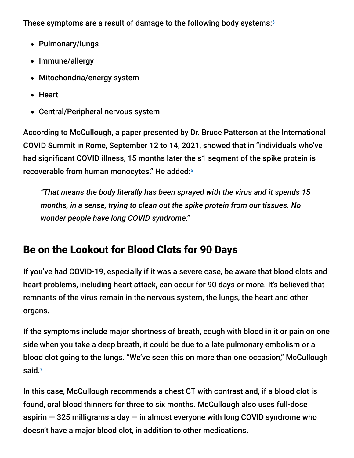These symptoms are a result of damage to the following body systems: 5

- Pulmonary/lungs
- Immune/allergy
- Mitochondria/energy system
- Heart
- Central/Peripheral nervous system

According to McCullough, a paper presented by Dr. Bruce Patterson at the International COVID Summit in Rome, September 12 to 14, 2021, showed that in "individuals who've had significant COVID illness, 15 months later the s1 segment of the spike protein is recoverable from human monocytes." He added: 6

*"That means the body literally has been sprayed with the virus and it spends 15 months, in a sense, trying to clean out the spike protein from our tissues. No wonder people have long COVID syndrome."*

# Be on the Lookout for Blood Clots for 90 Days

If you've had COVID-19, especially if it was a severe case, be aware that blood clots and heart problems, including heart attack, can occur for 90 days or more. It's believed that remnants of the virus remain in the nervous system, the lungs, the heart and other organs.

If the symptoms include major shortness of breath, cough with blood in it or pain on one side when you take a deep breath, it could be due to a late pulmonary embolism or a blood clot going to the lungs. "We've seen this on more than one occasion," McCullough said. 7

In this case, McCullough recommends a chest CT with contrast and, if a blood clot is found, oral blood thinners for three to six months. McCullough also uses full-dose aspirin  $-$  325 milligrams a day  $-$  in almost everyone with long COVID syndrome who doesn't have a major blood clot, in addition to other medications.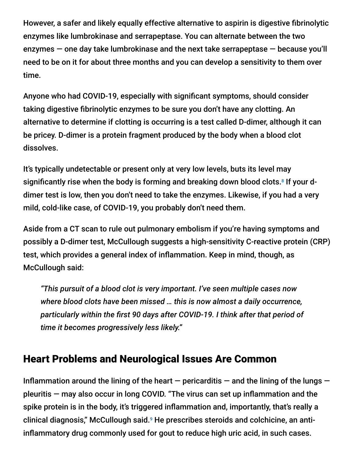However, a safer and likely equally effective alternative to aspirin is digestive fibrinolytic enzymes like lumbrokinase and serrapeptase. You can alternate between the two enzymes  $-$  one day take lumbrokinase and the next take serrapeptase  $-$  because you'll need to be on it for about three months and you can develop a sensitivity to them over time.

Anyone who had COVID-19, especially with significant symptoms, should consider taking digestive fibrinolytic enzymes to be sure you don't have any clotting. An alternative to determine if clotting is occurring is a test called D-dimer, although it can be pricey. D-dimer is a protein fragment produced by the body when a blood clot dissolves.

It's typically undetectable or present only at very low levels, buts its level may significantly rise when the body is forming and breaking down blood clots.<sup>8</sup> If your ddimer test is low, then you don't need to take the enzymes. Likewise, if you had a very mild, cold-like case, of COVID-19, you probably don't need them.

Aside from a CT scan to rule out pulmonary embolism if you're having symptoms and possibly a D-dimer test, McCullough suggests a high-sensitivity C-reactive protein (CRP) test, which provides a general index of inflammation. Keep in mind, though, as McCullough said:

*"This pursuit of a blood clot is very important. I've seen multiple cases now where blood clots have been missed … this is now almost a daily occurrence, particularly within the first 90 days after COVID-19. I think after that period of time it becomes progressively less likely."*

## Heart Problems and Neurological Issues Are Common

Inflammation around the lining of the heart  $-$  pericarditis  $-$  and the lining of the lungs  $$ pleuritis — may also occur in long COVID. "The virus can set up inflammation and the spike protein is in the body, it's triggered inflammation and, importantly, that's really a clinical diagnosis," McCullough said.<sup>9</sup> He prescribes steroids and colchicine, an antiinflammatory drug commonly used for gout to reduce high uric acid, in such cases.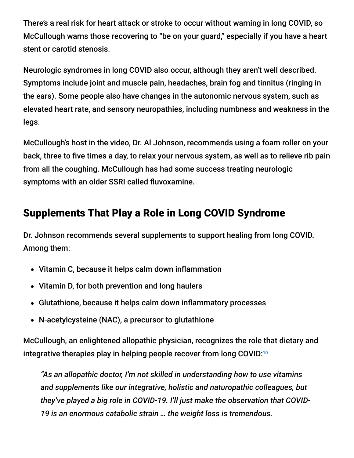There's a real risk for heart attack or stroke to occur without warning in long COVID, so McCullough warns those recovering to "be on your guard," especially if you have a heart stent or carotid stenosis.

Neurologic syndromes in long COVID also occur, although they aren't well described. Symptoms include joint and muscle pain, headaches, brain fog and tinnitus (ringing in the ears). Some people also have changes in the autonomic nervous system, such as elevated heart rate, and sensory neuropathies, including numbness and weakness in the legs.

McCullough's host in the video, Dr. Al Johnson, recommends using a foam roller on your back, three to five times a day, to relax your nervous system, as well as to relieve rib pain from all the coughing. McCullough has had some success treating neurologic symptoms with an older SSRI called fluvoxamine.

# Supplements That Play a Role in Long COVID Syndrome

Dr. Johnson recommends several supplements to support healing from long COVID. Among them:

- Vitamin C, because it helps calm down inflammation
- Vitamin D, for both prevention and long haulers
- Glutathione, because it helps calm down inflammatory processes
- N-acetylcysteine (NAC), a precursor to glutathione

McCullough, an enlightened allopathic physician, recognizes the role that dietary and integrative therapies play in helping people recover from long COVID: $^{\rm 10}$ 

*"As an allopathic doctor, I'm not skilled in understanding how to use vitamins and supplements like our integrative, holistic and naturopathic colleagues, but they've played a big role in COVID-19. I'll just make the observation that COVID-19 is an enormous catabolic strain … the weight loss is tremendous.*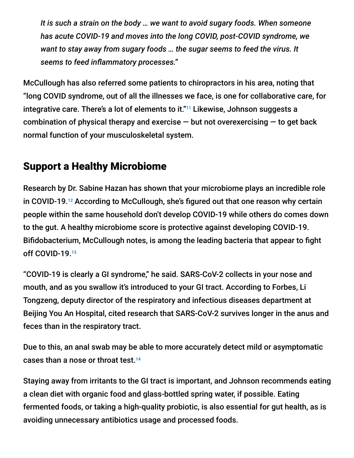*It is such a strain on the body … we want to avoid sugary foods. When someone has acute COVID-19 and moves into the long COVID, post-COVID syndrome, we want to stay away from sugary foods … the sugar seems to feed the virus. It seems to feed inflammatory processes."*

McCullough has also referred some patients to chiropractors in his area, noting that "long COVID syndrome, out of all the illnesses we face, is one for collaborative care, for integrative care. There's a lot of elements to it."<sup>11</sup> Likewise, Johnson suggests a combination of physical therapy and exercise  $-$  but not overexercising  $-$  to get back normal function of your musculoskeletal system.

## Support a Healthy Microbiome

Research by Dr. Sabine Hazan has shown that your microbiome plays an incredible role in COVID-19.<sup>12</sup> According to McCullough, she's figured out that one reason why certain people within the same household don't develop COVID-19 while others do comes down to the gut. A healthy microbiome score is protective against developing COVID-19. Bifidobacterium, McCullough notes, is among the leading bacteria that appear to fight off COVID-19.13

"COVID-19 is clearly a GI syndrome," he said. SARS-CoV-2 collects in your nose and mouth, and as you swallow it's introduced to your GI tract. According to Forbes, Li Tongzeng, deputy director of the respiratory and infectious diseases department at Beijing You An Hospital, cited research that SARS-CoV-2 survives longer in the anus and feces than in the respiratory tract.

Due to this, an anal swab may be able to more accurately detect mild or asymptomatic cases than a nose or throat test. 14

Staying away from irritants to the GI tract is important, and Johnson recommends eating a clean diet with organic food and glass-bottled spring water, if possible. Eating fermented foods, or taking a high-quality probiotic, is also essential for gut health, as is avoiding unnecessary antibiotics usage and processed foods.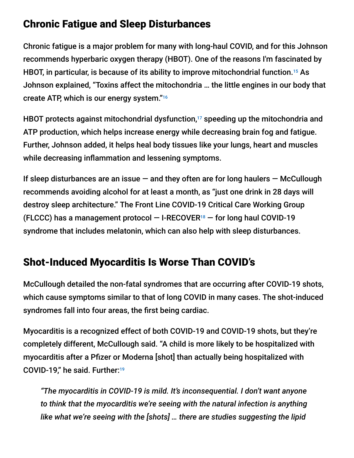## Chronic Fatigue and Sleep Disturbances

Chronic fatigue is a major problem for many with long-haul COVID, and for this Johnson recommends hyperbaric oxygen therapy (HBOT). One of the reasons I'm fascinated by HBOT, in particular, is because of its ability to improve mitochondrial function.<sup>15</sup> As Johnson explained, "Toxins affect the mitochondria … the little engines in our body that create ATP, which is our energy system." 16

HBOT protects against mitochondrial dysfunction, $17$  speeding up the mitochondria and ATP production, which helps increase energy while decreasing brain fog and fatigue. Further, Johnson added, it helps heal body tissues like your lungs, heart and muscles while decreasing inflammation and lessening symptoms.

If sleep disturbances are an issue  $-$  and they often are for long haulers  $-$  McCullough recommends avoiding alcohol for at least a month, as "just one drink in 28 days will destroy sleep architecture." The Front Line COVID-19 Critical Care Working Group  $(FLCCC)$  has a management protocol  $-$  I-RECOVER<sup>18</sup>  $-$  for long haul COVID-19 syndrome that includes melatonin, which can also help with sleep disturbances.

# Shot-Induced Myocarditis Is Worse Than COVID's

McCullough detailed the non-fatal syndromes that are occurring after COVID-19 shots, which cause symptoms similar to that of long COVID in many cases. The shot-induced syndromes fall into four areas, the first being cardiac.

Myocarditis is a recognized effect of both COVID-19 and COVID-19 shots, but they're completely different, McCullough said. "A child is more likely to be hospitalized with myocarditis after a Pfizer or Moderna [shot] than actually being hospitalized with COVID-19," he said. Further: 19

*"The myocarditis in COVID-19 is mild. It's inconsequential. I don't want anyone to think that the myocarditis we're seeing with the natural infection is anything like what we're seeing with the [shots] … there are studies suggesting the lipid*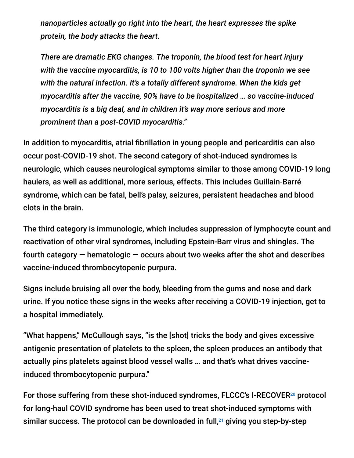*nanoparticles actually go right into the heart, the heart expresses the spike protein, the body attacks the heart.*

*There are dramatic EKG changes. The troponin, the blood test for heart injury with the vaccine myocarditis, is 10 to 100 volts higher than the troponin we see with the natural infection. It's a totally different syndrome. When the kids get myocarditis after the vaccine, 90% have to be hospitalized … so vaccine-induced myocarditis is a big deal, and in children it's way more serious and more prominent than a post-COVID myocarditis."*

In addition to myocarditis, atrial fibrillation in young people and pericarditis can also occur post-COVID-19 shot. The second category of shot-induced syndromes is neurologic, which causes neurological symptoms similar to those among COVID-19 long haulers, as well as additional, more serious, effects. This includes Guillain-Barré syndrome, which can be fatal, bell's palsy, seizures, persistent headaches and blood clots in the brain.

The third category is immunologic, which includes suppression of lymphocyte count and reactivation of other viral syndromes, including Epstein-Barr virus and shingles. The fourth category  $-$  hematologic  $-$  occurs about two weeks after the shot and describes vaccine-induced thrombocytopenic purpura.

Signs include bruising all over the body, bleeding from the gums and nose and dark urine. If you notice these signs in the weeks after receiving a COVID-19 injection, get to a hospital immediately.

"What happens," McCullough says, "is the [shot] tricks the body and gives excessive antigenic presentation of platelets to the spleen, the spleen produces an antibody that actually pins platelets against blood vessel walls … and that's what drives vaccineinduced thrombocytopenic purpura."

For those suffering from these shot-induced syndromes, FLCCC's I-RECOVER<sup>20</sup> protocol for long-haul COVID syndrome has been used to treat shot-induced symptoms with similar success. The protocol can be downloaded in full, $^{21}$  giving you step-by-step